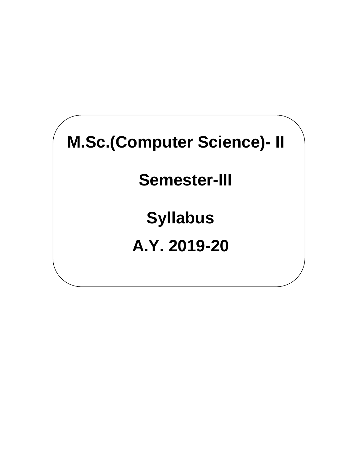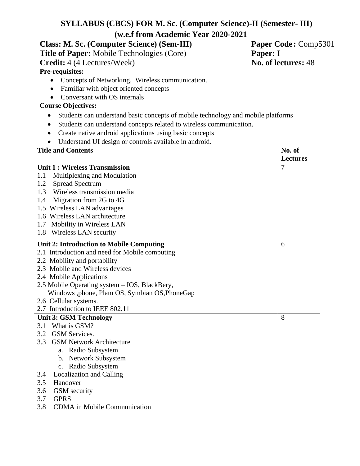# **SYLLABUS (CBCS) FOR M. Sc. (Computer Science)-II (Semester- III) (w.e.f from Academic Year 2020-2021**

**Class: M. Sc. (Computer Science) (Sem-III) Paper Code:** Comp5301 **Title of Paper:** Mobile Technologies (Core) **Paper:** I **Credit:** 4 (4 Lectures/Week) **No. of lectures:** 48 **Pre-requisites:**

- Concepts of Networking, Wireless communication.
- Familiar with object oriented concepts
- Conversant with OS internals

#### **Course Objectives:**

- Students can understand basic concepts of mobile technology and mobile platforms
- Students can understand concepts related to wireless communication.
- Create native android applications using basic concepts
- Understand UI design or controls available in android.

| <b>Title and Contents</b>                       | No. of          |
|-------------------------------------------------|-----------------|
|                                                 | <b>Lectures</b> |
| Unit 1: Wireless Transmission                   | 7               |
| Multiplexing and Modulation<br>1.1              |                 |
| 1.2<br><b>Spread Spectrum</b>                   |                 |
| Wireless transmission media<br>1.3              |                 |
| 1.4 Migration from 2G to 4G                     |                 |
| 1.5 Wireless LAN advantages                     |                 |
| 1.6 Wireless LAN architecture                   |                 |
| 1.7 Mobility in Wireless LAN                    |                 |
| 1.8 Wireless LAN security                       |                 |
| <b>Unit 2: Introduction to Mobile Computing</b> | 6               |
| 2.1 Introduction and need for Mobile computing  |                 |
| 2.2 Mobility and portability                    |                 |
| 2.3 Mobile and Wireless devices                 |                 |
| 2.4 Mobile Applications                         |                 |
| 2.5 Mobile Operating system - IOS, BlackBery,   |                 |
| Windows ,phone, Plam OS, Symbian OS, PhoneGap   |                 |
| 2.6 Cellular systems.                           |                 |
| 2.7 Introduction to IEEE 802.11                 |                 |
| <b>Unit 3: GSM Technology</b>                   | 8               |
| 3.1 What is GSM?                                |                 |
| 3.2 GSM Services.                               |                 |
| 3.3 GSM Network Architecture                    |                 |
| a. Radio Subsystem                              |                 |
| b. Network Subsystem                            |                 |
| c. Radio Subsystem                              |                 |
| <b>Localization and Calling</b><br>3.4          |                 |
| 3.5<br>Handover                                 |                 |
| 3.6<br><b>GSM</b> security                      |                 |
| <b>GPRS</b><br>3.7                              |                 |
| 3.8<br><b>CDMA</b> in Mobile Communication      |                 |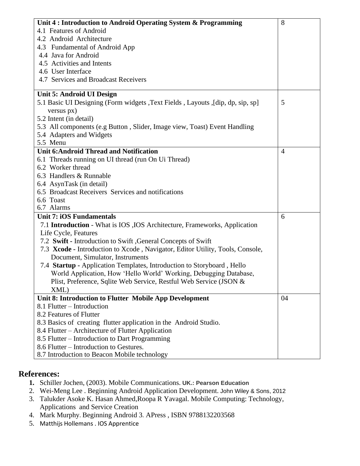| Unit 4 : Introduction to Android Operating System & Programming                | 8              |
|--------------------------------------------------------------------------------|----------------|
| 4.1 Features of Android                                                        |                |
| 4.2 Android Architecture                                                       |                |
| 4.3 Fundamental of Android App                                                 |                |
| 4.4 Java for Android                                                           |                |
| 4.5 Activities and Intents                                                     |                |
| 4.6 User Interface                                                             |                |
| 4.7 Services and Broadcast Receivers                                           |                |
| Unit 5: Android UI Design                                                      |                |
| 5.1 Basic UI Designing (Form widgets, Text Fields, Layouts, [dip, dp, sip, sp] | 5              |
| versus px)                                                                     |                |
| 5.2 Intent (in detail)                                                         |                |
| 5.3 All components (e.g Button, Slider, Image view, Toast) Event Handling      |                |
| 5.4 Adapters and Widgets                                                       |                |
| 5.5 Menu                                                                       |                |
| <b>Unit 6:Android Thread and Notification</b>                                  | $\overline{4}$ |
| 6.1 Threads running on UI thread (run On Ui Thread)                            |                |
| 6.2 Worker thread                                                              |                |
| 6.3 Handlers & Runnable                                                        |                |
| 6.4 AsynTask (in detail)                                                       |                |
| 6.5 Broadcast Receivers Services and notifications                             |                |
| 6.6 Toast                                                                      |                |
| 6.7 Alarms                                                                     |                |
| <b>Unit 7: iOS Fundamentals</b>                                                | 6              |
| 7.1 Introduction - What is IOS , IOS Architecture, Frameworks, Application     |                |
| Life Cycle, Features                                                           |                |
| 7.2 Swift - Introduction to Swift , General Concepts of Swift                  |                |
| 7.3 Xcode - Introduction to Xcode, Navigator, Editor Utility, Tools, Console,  |                |
| Document, Simulator, Instruments                                               |                |
| 7.4 Startup - Application Templates, Introduction to Storyboard, Hello         |                |
| World Application, How 'Hello World' Working, Debugging Database,              |                |
| Plist, Preference, Sqlite Web Service, Restful Web Service (JSON &             |                |
| XML)                                                                           |                |
| Unit 8: Introduction to Flutter Mobile App Development                         | 04             |
| 8.1 Flutter – Introduction                                                     |                |
| 8.2 Features of Flutter                                                        |                |
| 8.3 Basics of creating flutter application in the Android Studio.              |                |
| 8.4 Flutter – Architecture of Flutter Application                              |                |
| 8.5 Flutter – Introduction to Dart Programming                                 |                |
| 8.6 Flutter – Introduction to Gestures.                                        |                |
| 8.7 Introduction to Beacon Mobile technology                                   |                |

## **References:**

- **1.** Schiller Jochen, (2003). Mobile Communications. **UK.: Pearson Education**
- 2. Wei-Meng Lee . Beginning Android Application Development. John Wiley & Sons, 2012
- 3. Talukder Asoke K. Hasan Ahmed,Roopa R Yavagal. Mobile Computing: Technology, Applications and Service Creation
- 4. Mark Murphy. Beginning Android 3. APress , ISBN 9788132203568
- 5. Matthijs Hollemans . IOS Apprentice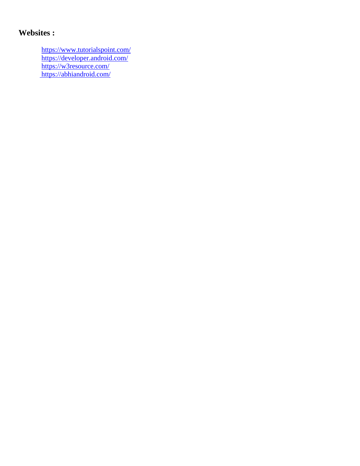## **Websites :**

<https://www.tutorialspoint.com/> <https://developer.android.com/> <https://w3resource.com/> <https://abhiandroid.com/>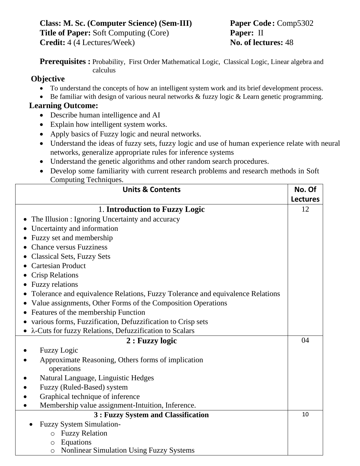**Class: M. Sc. (Computer Science) (Sem-III) Paper Code :** Comp5302 **Title of Paper:** Soft Computing (Core) **Paper:** II **Credit:** 4 (4 Lectures/Week) **No. of lectures:** 48

**Prerequisites** : Probability, First Order Mathematical Logic, Classical Logic, Linear algebra and calculus

## **Objective**

- To understand the concepts of how an intelligent system work and its brief development process.
- Be familiar with design of various neural networks & fuzzy logic & Learn genetic programming.

## **Learning Outcome:**

- Describe human intelligence and AI
- Explain how intelligent system works.
- Apply basics of Fuzzy logic and neural networks.
- Understand the ideas of fuzzy sets, fuzzy logic and use of human experience relate with neural networks, generalize appropriate rules for inference systems
- Understand the genetic algorithms and other random search procedures.
- Develop some familiarity with current research problems and research methods in Soft Computing Techniques.

| <b>Units &amp; Contents</b>                                                    | No. Of          |
|--------------------------------------------------------------------------------|-----------------|
|                                                                                | <b>Lectures</b> |
| 1. Introduction to Fuzzy Logic                                                 | 12              |
| The Illusion : Ignoring Uncertainty and accuracy                               |                 |
| Uncertainty and information                                                    |                 |
| Fuzzy set and membership                                                       |                 |
| <b>Chance versus Fuzziness</b>                                                 |                 |
| <b>Classical Sets, Fuzzy Sets</b>                                              |                 |
| <b>Cartesian Product</b>                                                       |                 |
| <b>Crisp Relations</b>                                                         |                 |
| Fuzzy relations                                                                |                 |
| Tolerance and equivalence Relations, Fuzzy Tolerance and equivalence Relations |                 |
| Value assignments, Other Forms of the Composition Operations                   |                 |
| Features of the membership Function                                            |                 |
| various forms, Fuzzification, Defuzzification to Crisp sets                    |                 |
| • $\lambda$ -Cuts for fuzzy Relations, Defuzzification to Scalars              |                 |
| 2 : Fuzzy logic                                                                | 04              |
| <b>Fuzzy Logic</b>                                                             |                 |
| Approximate Reasoning, Others forms of implication                             |                 |
| operations                                                                     |                 |
| Natural Language, Linguistic Hedges                                            |                 |
| Fuzzy (Ruled-Based) system                                                     |                 |
| Graphical technique of inference                                               |                 |
| Membership value assignment-Intuition, Inference.                              |                 |
| 3 : Fuzzy System and Classification                                            | 10              |
| <b>Fuzzy System Simulation-</b>                                                |                 |
| <b>Fuzzy Relation</b><br>$\circ$                                               |                 |
| Equations<br>$\bigcirc$                                                        |                 |
| <b>Nonlinear Simulation Using Fuzzy Systems</b><br>O                           |                 |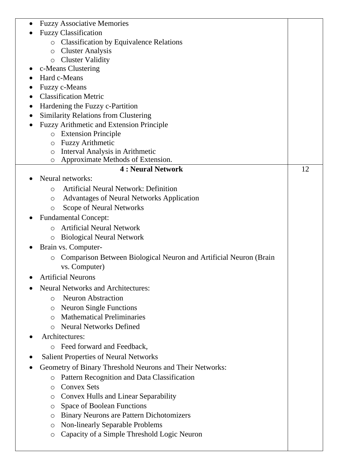|           | <b>Fuzzy Associative Memories</b>                                      |    |
|-----------|------------------------------------------------------------------------|----|
|           | <b>Fuzzy Classification</b>                                            |    |
|           | <b>Classification by Equivalence Relations</b><br>$\circ$              |    |
|           | <b>Cluster Analysis</b><br>$\circ$                                     |    |
|           | <b>Cluster Validity</b><br>$\circ$                                     |    |
|           | c-Means Clustering                                                     |    |
|           | Hard c-Means                                                           |    |
|           | Fuzzy c-Means                                                          |    |
| $\bullet$ | <b>Classification Metric</b>                                           |    |
|           | Hardening the Fuzzy c-Partition                                        |    |
|           | <b>Similarity Relations from Clustering</b>                            |    |
|           | <b>Fuzzy Arithmetic and Extension Principle</b>                        |    |
|           | <b>Extension Principle</b><br>$\circ$                                  |    |
|           | <b>Fuzzy Arithmetic</b><br>$\circ$                                     |    |
|           | Interval Analysis in Arithmetic<br>O                                   |    |
|           | Approximate Methods of Extension.<br>O                                 |    |
|           | <b>4 : Neural Network</b>                                              | 12 |
|           | Neural networks:                                                       |    |
|           | <b>Artificial Neural Network: Definition</b><br>$\bigcirc$             |    |
|           | <b>Advantages of Neural Networks Application</b><br>O                  |    |
|           | Scope of Neural Networks<br>O                                          |    |
|           | <b>Fundamental Concept:</b>                                            |    |
|           | <b>Artificial Neural Network</b><br>$\bigcap$                          |    |
|           | <b>Biological Neural Network</b><br>O                                  |    |
|           | Brain vs. Computer-                                                    |    |
|           | Comparison Between Biological Neuron and Artificial Neuron (Brain<br>O |    |
|           | vs. Computer)                                                          |    |
|           | <b>Artificial Neurons</b>                                              |    |
|           | <b>Neural Networks and Architectures:</b>                              |    |
|           | <b>Neuron Abstraction</b><br>$\circ$                                   |    |
|           | <b>Neuron Single Functions</b><br>O                                    |    |
|           | <b>Mathematical Preliminaries</b><br>∩                                 |    |
|           | <b>Neural Networks Defined</b><br>$\circ$                              |    |
|           | Architectures:                                                         |    |
|           | Feed forward and Feedback,<br>$\circ$                                  |    |
|           | <b>Salient Properties of Neural Networks</b>                           |    |
|           | Geometry of Binary Threshold Neurons and Their Networks:               |    |
|           | Pattern Recognition and Data Classification<br>$\circ$                 |    |
|           | <b>Convex Sets</b><br>O                                                |    |
|           | <b>Convex Hulls and Linear Separability</b><br>O                       |    |
|           | <b>Space of Boolean Functions</b><br>O                                 |    |
|           | <b>Binary Neurons are Pattern Dichotomizers</b><br>O                   |    |
|           | <b>Non-linearly Separable Problems</b><br>O                            |    |
|           | Capacity of a Simple Threshold Logic Neuron<br>O                       |    |
|           |                                                                        |    |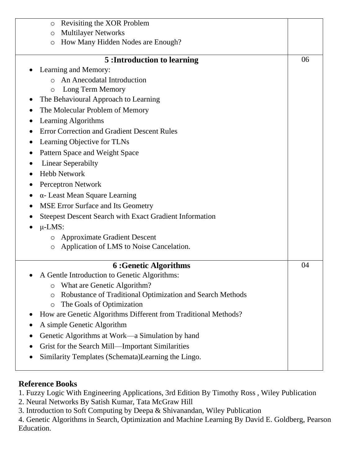| Revisiting the XOR Problem<br>$\circ$                                |    |  |  |
|----------------------------------------------------------------------|----|--|--|
| <b>Multilayer Networks</b><br>$\circ$                                |    |  |  |
| How Many Hidden Nodes are Enough?<br>$\circ$                         |    |  |  |
|                                                                      |    |  |  |
| 5: Introduction to learning                                          | 06 |  |  |
| Learning and Memory:                                                 |    |  |  |
| An Anecodatal Introduction<br>$\bigcirc$                             |    |  |  |
| Long Term Memory<br>$\circ$                                          |    |  |  |
| The Behavioural Approach to Learning                                 |    |  |  |
| The Molecular Problem of Memory                                      |    |  |  |
| Learning Algorithms                                                  |    |  |  |
| <b>Error Correction and Gradient Descent Rules</b>                   |    |  |  |
| Learning Objective for TLNs                                          |    |  |  |
| Pattern Space and Weight Space                                       |    |  |  |
| <b>Linear Seperabilty</b>                                            |    |  |  |
| <b>Hebb Network</b>                                                  |    |  |  |
| <b>Perceptron Network</b>                                            |    |  |  |
| $\alpha$ - Least Mean Square Learning                                |    |  |  |
| MSE Error Surface and Its Geometry                                   |    |  |  |
| <b>Steepest Descent Search with Exact Gradient Information</b>       |    |  |  |
| $\mu$ -LMS:                                                          |    |  |  |
| <b>Approximate Gradient Descent</b><br>$\circ$                       |    |  |  |
| Application of LMS to Noise Cancelation.<br>$\circ$                  |    |  |  |
|                                                                      |    |  |  |
| <b>6: Genetic Algorithms</b>                                         | 04 |  |  |
| A Gentle Introduction to Genetic Algorithms:                         |    |  |  |
| What are Genetic Algorithm?<br>O                                     |    |  |  |
| Robustance of Traditional Optimization and Search Methods<br>$\circ$ |    |  |  |
| The Goals of Optimization<br>$\circ$                                 |    |  |  |
| How are Genetic Algorithms Different from Traditional Methods?       |    |  |  |
| A simple Genetic Algorithm                                           |    |  |  |
| Genetic Algorithms at Work—a Simulation by hand                      |    |  |  |
| Grist for the Search Mill—Important Similarities                     |    |  |  |
| Similarity Templates (Schemata)Learning the Lingo.                   |    |  |  |

## **Reference Books**

1. Fuzzy Logic With Engineering Applications, 3rd Edition By Timothy Ross , Wiley Publication

2. Neural Networks By Satish Kumar, Tata McGraw Hill

3. Introduction to Soft Computing by Deepa & Shivanandan, Wiley Publication

4. Genetic Algorithms in Search, Optimization and Machine Learning By David E. Goldberg, Pearson Education.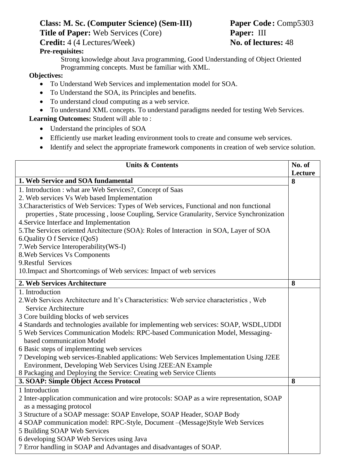# **Class: M. Sc. (Computer Science) (Sem-III) Paper Code :** Comp5303

**Title of Paper:** Web Services (Core) **Paper:** III

**Credit:** 4 (4 Lectures/Week) **No. of lectures:** 48

#### **Pre-requisites:**

Strong knowledge about Java programming, Good Understanding of Object Oriented Programming concepts. Must be familiar with XML.

#### **Objectives:**

- To Understand Web Services and implementation model for SOA.
- To Understand the SOA, its Principles and benefits.
- To understand cloud computing as a web service.
- To understand XML concepts. To understand paradigms needed for testing Web Services.

**Learning Outcomes:** Student will able to :

- Understand the principles of SOA
- Efficiently use market leading environment tools to create and consume web services.
- Identify and select the appropriate framework components in creation of web service solution.

| <b>Units &amp; Contents</b><br>No. of<br>Lecture<br>1. Web Service and SOA fundamental<br>8<br>1. Introduction : what are Web Services?, Concept of Saas<br>2. Web services Vs Web based Implementation<br>3. Characteristics of Web Services: Types of Web services, Functional and non functional<br>properties, State processing, loose Coupling, Service Granularity, Service Synchronization<br>4. Service Interface and Implementation<br>5. The Services oriented Architecture (SOA): Roles of Interaction in SOA, Layer of SOA<br>6.Quality O f Service (QoS)<br>7. Web Service Interoperability (WS-I)<br>8. Web Services Vs Components<br>9. Restful Services<br>10. Impact and Shortcomings of Web services: Impact of web services<br>2. Web Services Architecture<br>8<br>1. Introduction<br>2. Web Services Architecture and It's Characteristics: Web service characteristics, Web<br>Service Architecture<br>3 Core building blocks of web services<br>4 Standards and technologies available for implementing web services: SOAP, WSDL, UDDI<br>5 Web Services Communication Models: RPC-based Communication Model, Messaging-<br>based communication Model |
|------------------------------------------------------------------------------------------------------------------------------------------------------------------------------------------------------------------------------------------------------------------------------------------------------------------------------------------------------------------------------------------------------------------------------------------------------------------------------------------------------------------------------------------------------------------------------------------------------------------------------------------------------------------------------------------------------------------------------------------------------------------------------------------------------------------------------------------------------------------------------------------------------------------------------------------------------------------------------------------------------------------------------------------------------------------------------------------------------------------------------------------------------------------------------|
|                                                                                                                                                                                                                                                                                                                                                                                                                                                                                                                                                                                                                                                                                                                                                                                                                                                                                                                                                                                                                                                                                                                                                                              |
|                                                                                                                                                                                                                                                                                                                                                                                                                                                                                                                                                                                                                                                                                                                                                                                                                                                                                                                                                                                                                                                                                                                                                                              |
|                                                                                                                                                                                                                                                                                                                                                                                                                                                                                                                                                                                                                                                                                                                                                                                                                                                                                                                                                                                                                                                                                                                                                                              |
|                                                                                                                                                                                                                                                                                                                                                                                                                                                                                                                                                                                                                                                                                                                                                                                                                                                                                                                                                                                                                                                                                                                                                                              |
|                                                                                                                                                                                                                                                                                                                                                                                                                                                                                                                                                                                                                                                                                                                                                                                                                                                                                                                                                                                                                                                                                                                                                                              |
|                                                                                                                                                                                                                                                                                                                                                                                                                                                                                                                                                                                                                                                                                                                                                                                                                                                                                                                                                                                                                                                                                                                                                                              |
|                                                                                                                                                                                                                                                                                                                                                                                                                                                                                                                                                                                                                                                                                                                                                                                                                                                                                                                                                                                                                                                                                                                                                                              |
|                                                                                                                                                                                                                                                                                                                                                                                                                                                                                                                                                                                                                                                                                                                                                                                                                                                                                                                                                                                                                                                                                                                                                                              |
|                                                                                                                                                                                                                                                                                                                                                                                                                                                                                                                                                                                                                                                                                                                                                                                                                                                                                                                                                                                                                                                                                                                                                                              |
|                                                                                                                                                                                                                                                                                                                                                                                                                                                                                                                                                                                                                                                                                                                                                                                                                                                                                                                                                                                                                                                                                                                                                                              |
|                                                                                                                                                                                                                                                                                                                                                                                                                                                                                                                                                                                                                                                                                                                                                                                                                                                                                                                                                                                                                                                                                                                                                                              |
|                                                                                                                                                                                                                                                                                                                                                                                                                                                                                                                                                                                                                                                                                                                                                                                                                                                                                                                                                                                                                                                                                                                                                                              |
|                                                                                                                                                                                                                                                                                                                                                                                                                                                                                                                                                                                                                                                                                                                                                                                                                                                                                                                                                                                                                                                                                                                                                                              |
|                                                                                                                                                                                                                                                                                                                                                                                                                                                                                                                                                                                                                                                                                                                                                                                                                                                                                                                                                                                                                                                                                                                                                                              |
|                                                                                                                                                                                                                                                                                                                                                                                                                                                                                                                                                                                                                                                                                                                                                                                                                                                                                                                                                                                                                                                                                                                                                                              |
|                                                                                                                                                                                                                                                                                                                                                                                                                                                                                                                                                                                                                                                                                                                                                                                                                                                                                                                                                                                                                                                                                                                                                                              |
|                                                                                                                                                                                                                                                                                                                                                                                                                                                                                                                                                                                                                                                                                                                                                                                                                                                                                                                                                                                                                                                                                                                                                                              |
|                                                                                                                                                                                                                                                                                                                                                                                                                                                                                                                                                                                                                                                                                                                                                                                                                                                                                                                                                                                                                                                                                                                                                                              |
|                                                                                                                                                                                                                                                                                                                                                                                                                                                                                                                                                                                                                                                                                                                                                                                                                                                                                                                                                                                                                                                                                                                                                                              |
|                                                                                                                                                                                                                                                                                                                                                                                                                                                                                                                                                                                                                                                                                                                                                                                                                                                                                                                                                                                                                                                                                                                                                                              |
|                                                                                                                                                                                                                                                                                                                                                                                                                                                                                                                                                                                                                                                                                                                                                                                                                                                                                                                                                                                                                                                                                                                                                                              |
| 6 Basic steps of implementing web services                                                                                                                                                                                                                                                                                                                                                                                                                                                                                                                                                                                                                                                                                                                                                                                                                                                                                                                                                                                                                                                                                                                                   |
| 7 Developing web services-Enabled applications: Web Services Implementation Using J2EE                                                                                                                                                                                                                                                                                                                                                                                                                                                                                                                                                                                                                                                                                                                                                                                                                                                                                                                                                                                                                                                                                       |
| Environment, Developing Web Services Using J2EE:AN Example                                                                                                                                                                                                                                                                                                                                                                                                                                                                                                                                                                                                                                                                                                                                                                                                                                                                                                                                                                                                                                                                                                                   |
| 8 Packaging and Deploying the Service: Creating web Service Clients                                                                                                                                                                                                                                                                                                                                                                                                                                                                                                                                                                                                                                                                                                                                                                                                                                                                                                                                                                                                                                                                                                          |
| 3. SOAP: Simple Object Access Protocol<br>8                                                                                                                                                                                                                                                                                                                                                                                                                                                                                                                                                                                                                                                                                                                                                                                                                                                                                                                                                                                                                                                                                                                                  |
| 1 Introduction                                                                                                                                                                                                                                                                                                                                                                                                                                                                                                                                                                                                                                                                                                                                                                                                                                                                                                                                                                                                                                                                                                                                                               |
| 2 Inter-application communication and wire protocols: SOAP as a wire representation, SOAP                                                                                                                                                                                                                                                                                                                                                                                                                                                                                                                                                                                                                                                                                                                                                                                                                                                                                                                                                                                                                                                                                    |
| as a messaging protocol                                                                                                                                                                                                                                                                                                                                                                                                                                                                                                                                                                                                                                                                                                                                                                                                                                                                                                                                                                                                                                                                                                                                                      |
| 3 Structure of a SOAP message: SOAP Envelope, SOAP Header, SOAP Body                                                                                                                                                                                                                                                                                                                                                                                                                                                                                                                                                                                                                                                                                                                                                                                                                                                                                                                                                                                                                                                                                                         |
| 4 SOAP communication model: RPC-Style, Document - (Message) Style Web Services<br>5 Building SOAP Web Services                                                                                                                                                                                                                                                                                                                                                                                                                                                                                                                                                                                                                                                                                                                                                                                                                                                                                                                                                                                                                                                               |
| 6 developing SOAP Web Services using Java                                                                                                                                                                                                                                                                                                                                                                                                                                                                                                                                                                                                                                                                                                                                                                                                                                                                                                                                                                                                                                                                                                                                    |
| 7 Error handling in SOAP and Advantages and disadvantages of SOAP.                                                                                                                                                                                                                                                                                                                                                                                                                                                                                                                                                                                                                                                                                                                                                                                                                                                                                                                                                                                                                                                                                                           |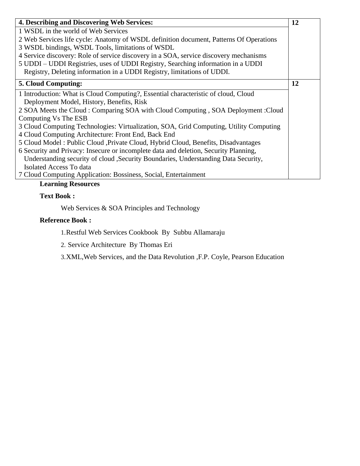| 4. Describing and Discovering Web Services:                                            | 12 |
|----------------------------------------------------------------------------------------|----|
| 1 WSDL in the world of Web Services                                                    |    |
| 2 Web Services life cycle: Anatomy of WSDL definition document, Patterns Of Operations |    |
| 3 WSDL bindings, WSDL Tools, limitations of WSDL                                       |    |
| 4 Service discovery: Role of service discovery in a SOA, service discovery mechanisms  |    |
| 5 UDDI - UDDI Registries, uses of UDDI Registry, Searching information in a UDDI       |    |
| Registry, Deleting information in a UDDI Registry, limitations of UDDI.                |    |
| <b>5. Cloud Computing:</b>                                                             | 12 |
| 1 Introduction: What is Cloud Computing?, Essential characteristic of cloud, Cloud     |    |
| Deployment Model, History, Benefits, Risk                                              |    |
| 2 SOA Meets the Cloud : Comparing SOA with Cloud Computing, SOA Deployment : Cloud     |    |
| Computing Vs The ESB                                                                   |    |
| 3 Cloud Computing Technologies: Virtualization, SOA, Grid Computing, Utility Computing |    |
| 4 Cloud Computing Architecture: Front End, Back End                                    |    |
| 5 Cloud Model: Public Cloud , Private Cloud, Hybrid Cloud, Benefits, Disadvantages     |    |
| 6 Security and Privacy: Insecure or incomplete data and deletion, Security Planning,   |    |
| Understanding security of cloud , Security Boundaries, Understanding Data Security,    |    |
| Isolated Access To data                                                                |    |
| 7 Cloud Computing Application: Bossiness, Social, Entertainment                        |    |

#### **Learning Resources**

### **Text Book :**

Web Services & SOA Principles and Technology

#### **Reference Book :**

1.Restful Web Services Cookbook By Subbu Allamaraju

2. Service Architecture By Thomas Eri

3.XML,Web Services, and the Data Revolution ,F.P. Coyle, Pearson Education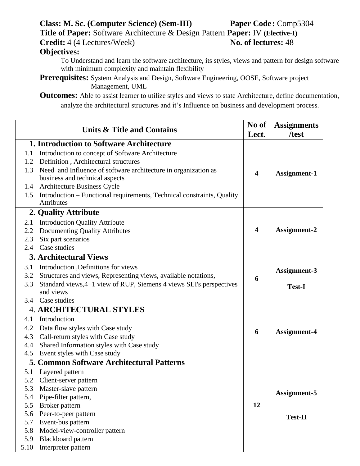# **Class: M. Sc. (Computer Science) (Sem-III) Paper Code :** Comp5304

**Title of Paper:** Software Architecture & Design Pattern **Paper:** IV **(Elective-I)**

**Credit:** 4 (4 Lectures/Week) **No. of lectures:** 48

## **Objectives:**

To Understand and learn the software architecture, its styles, views and pattern for design software with minimum complexity and maintain flexibility

**Prerequisites:** System Analysis and Design, Software Engineering, OOSE, Software project Management, UML

**Outcomes:** Able to assist learner to utilize styles and views to state Architecture, define documentation, analyze the architectural structures and it's Influence on business and development process.

| Units & Title and Contains |                                                                        |                         | <b>Assignments</b><br>/test |
|----------------------------|------------------------------------------------------------------------|-------------------------|-----------------------------|
|                            | <b>1. Introduction to Software Architecture</b>                        | Lect.                   |                             |
| 1.1                        | Introduction to concept of Software Architecture                       |                         |                             |
| 1.2                        | Definition, Architectural structures                                   |                         |                             |
| 1.3                        | Need and Influence of software architecture in organization as         |                         |                             |
|                            | business and technical aspects                                         | $\overline{\mathbf{4}}$ | <b>Assignment-1</b>         |
| 1.4                        | <b>Architecture Business Cycle</b>                                     |                         |                             |
| 1.5                        | Introduction – Functional requirements, Technical constraints, Quality |                         |                             |
|                            | Attributes                                                             |                         |                             |
|                            | 2. Quality Attribute                                                   |                         |                             |
| 2.1                        | <b>Introduction Quality Attribute</b>                                  |                         |                             |
| 2.2                        | <b>Documenting Quality Attributes</b>                                  | $\boldsymbol{4}$        | Assignment-2                |
| 2.3                        | Six part scenarios                                                     |                         |                             |
| 2.4                        | Case studies                                                           |                         |                             |
|                            | <b>3. Architectural Views</b>                                          |                         |                             |
| 3.1                        | Introduction , Definitions for views                                   |                         | Assignment-3                |
| 3.2                        | Structures and views, Representing views, available notations,         | 6                       |                             |
| 3.3                        | Standard views, 4+1 view of RUP, Siemens 4 views SEI's perspectives    |                         | <b>Test-I</b>               |
|                            | and views                                                              |                         |                             |
|                            | 3.4 Case studies                                                       |                         |                             |
|                            | <b>4. ARCHITECTURAL STYLES</b>                                         |                         |                             |
| 4.1                        | Introduction                                                           |                         |                             |
| 4.2                        | Data flow styles with Case study                                       | 6                       | <b>Assignment-4</b>         |
| 4.3                        | Call-return styles with Case study                                     |                         |                             |
| 4.4                        | Shared Information styles with Case study                              |                         |                             |
| 4.5                        | Event styles with Case study                                           |                         |                             |
|                            | <b>5. Common Software Architectural Patterns</b>                       |                         |                             |
| 5.1                        | Layered pattern                                                        |                         |                             |
| 5.2                        | Client-server pattern                                                  |                         |                             |
| 5.3                        | Master-slave pattern                                                   |                         | Assignment-5                |
| 5.4                        | Pipe-filter pattern,                                                   |                         |                             |
| 5.5                        | Broker pattern                                                         | 12                      |                             |
| 5.6                        | Peer-to-peer pattern                                                   |                         | <b>Test-II</b>              |
| 5.7                        | Event-bus pattern                                                      |                         |                             |
| 5.8                        | Model-view-controller pattern                                          |                         |                             |
| 5.9                        | <b>Blackboard</b> pattern                                              |                         |                             |
| 5.10                       | Interpreter pattern                                                    |                         |                             |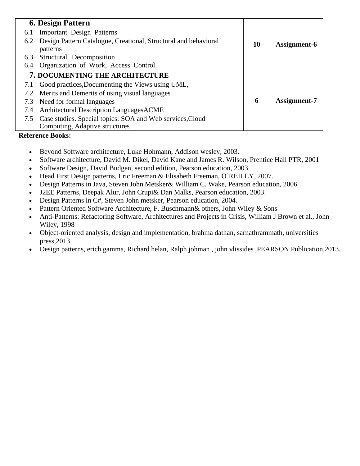|     | <b>6. Design Pattern</b>                                                    |    |              |
|-----|-----------------------------------------------------------------------------|----|--------------|
| 6.1 | <b>Important Design Patterns</b>                                            |    |              |
| 6.2 | Design Pattern Catalogue, Creational, Structural and behavioral<br>patterns | 10 | Assignment-6 |
| 6.3 | Structural Decomposition                                                    |    |              |
| 6.4 | Organization of Work, Access Control.                                       |    |              |
|     | 7. DOCUMENTING THE ARCHITECTURE                                             |    |              |
| 7.1 | Good practices, Documenting the Views using UML,                            |    |              |
| 7.2 | Merits and Demerits of using visual languages                               |    |              |
| 7.3 | Need for formal languages                                                   | 6  | Assignment-7 |
| 7.4 | Architectural Description LanguagesACME                                     |    |              |
| 7.5 | Case studies. Special topics: SOA and Web services, Cloud                   |    |              |
|     | Computing, Adaptive structures                                              |    |              |

#### **Reference Books:**

- Beyond Software architecture, Luke Hohmann, Addison wesley, 2003.
- Software architecture, David M. Dikel, David Kane and James R. Wilson, Prentice Hall PTR, 2001
- Software Design, David Budgen, second edition, Pearson education, 2003
- Head First Design patterns, Eric Freeman & Elisabeth Freeman, O'REILLY, 2007.
- Design Patterns in Java, Steven John Metsker& William C. Wake, Pearson education, 2006
- J2EE Patterns, Deepak Alur, John Crupi& Dan Malks, Pearson education, 2003.
- Design Patterns in C#, Steven John metsker, Pearson education, 2004.
- Pattern Oriented Software Architecture, F. Buschmann & others, John Wiley & Sons
- Anti-Patterns: Refactoring Software, Architectures and Projects in Crisis, William J Brown et al., John Wiley, 1998
- Object-oriented analysis, design and implementation, brahma dathan, sarnathrammath, universities press,2013
- Design patterns, erich gamma, Richard helan, Ralph johman , john vlissides ,PEARSON Publication,2013.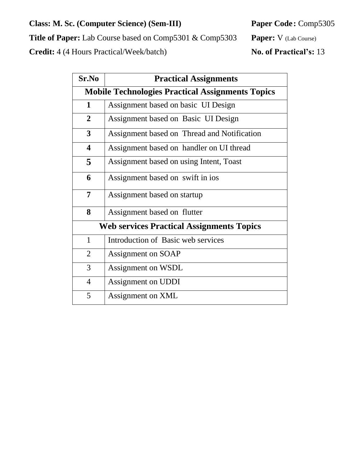## **Class: M. Sc. (Computer Science) (Sem-III) Paper Code:** Comp5305

**Title of Paper:** Lab Course based on Comp5301 & Comp5303 **Paper:** V (Lab Course)

**Credit:** 4 (4 Hours Practical/Week/batch) **No. of Practical's:** 13

| Sr.No                                            | <b>Practical Assignments</b>                            |  |  |  |  |
|--------------------------------------------------|---------------------------------------------------------|--|--|--|--|
|                                                  | <b>Mobile Technologies Practical Assignments Topics</b> |  |  |  |  |
| $\mathbf{1}$                                     | Assignment based on basic UI Design                     |  |  |  |  |
| $\overline{2}$                                   | Assignment based on Basic UI Design                     |  |  |  |  |
| $\overline{3}$                                   | Assignment based on Thread and Notification             |  |  |  |  |
| $\overline{\mathbf{4}}$                          | Assignment based on handler on UI thread                |  |  |  |  |
| 5                                                | Assignment based on using Intent, Toast                 |  |  |  |  |
| 6                                                | Assignment based on swift in ios                        |  |  |  |  |
| $\overline{7}$                                   | Assignment based on startup                             |  |  |  |  |
| 8                                                | Assignment based on flutter                             |  |  |  |  |
| <b>Web services Practical Assignments Topics</b> |                                                         |  |  |  |  |
| $\mathbf{1}$                                     | Introduction of Basic web services                      |  |  |  |  |
| $\overline{2}$                                   | Assignment on SOAP                                      |  |  |  |  |
| 3                                                | Assignment on WSDL                                      |  |  |  |  |
| $\overline{4}$                                   | Assignment on UDDI                                      |  |  |  |  |
| 5                                                | Assignment on XML                                       |  |  |  |  |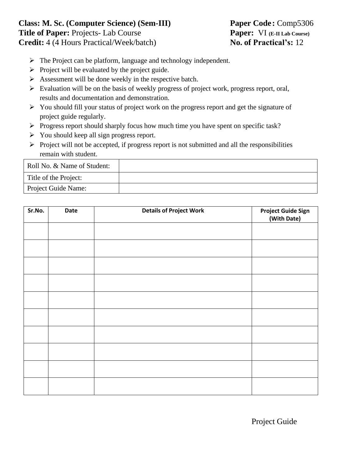## **Class: M. Sc. (Computer Science) (Sem-III) Paper Code :** Comp5306 **Title of Paper:** Projects- Lab Course **Paper:** VI **(E-II Lab Course) Credit:** 4 (4 Hours Practical/Week/batch) **No. of Practical's:** 12

- ➢ The Project can be platform, language and technology independent.
- $\triangleright$  Project will be evaluated by the project guide.
- ➢ Assessment will be done weekly in the respective batch.
- ➢ Evaluation will be on the basis of weekly progress of project work, progress report, oral, results and documentation and demonstration.
- ➢ You should fill your status of project work on the progress report and get the signature of project guide regularly.
- ➢ Progress report should sharply focus how much time you have spent on specific task?
- ➢ You should keep all sign progress report.
- $\triangleright$  Project will not be accepted, if progress report is not submitted and all the responsibilities remain with student.

| Roll No. & Name of Student: |  |
|-----------------------------|--|
| Title of the Project:       |  |
| Project Guide Name:         |  |

| Sr.No. | Date | <b>Details of Project Work</b> | <b>Project Guide Sign</b><br>(With Date) |
|--------|------|--------------------------------|------------------------------------------|
|        |      |                                |                                          |
|        |      |                                |                                          |
|        |      |                                |                                          |
|        |      |                                |                                          |
|        |      |                                |                                          |
|        |      |                                |                                          |
|        |      |                                |                                          |
|        |      |                                |                                          |
|        |      |                                |                                          |
|        |      |                                |                                          |

Project Guide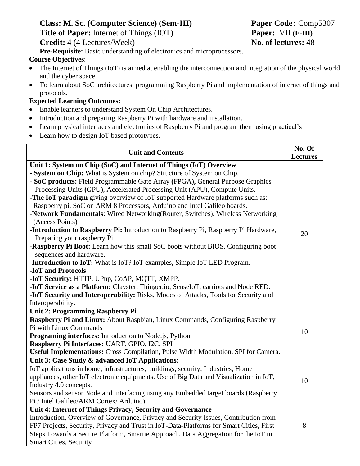# **Class: M. Sc. (Computer Science) (Sem-III) Paper Code:** Comp5307 **Title of Paper:** Internet of Things (IOT) **Paper:** VII **(E-III) Credit:** 4 (4 Lectures/Week) **No. of lectures:** 48

**Pre-Requisite:** Basic understanding of electronics and microprocessors.

#### **Course Objectives**:

- The Internet of Things (IoT) is aimed at enabling the interconnection and integration of the physical world and the cyber space.
- To learn about SoC architectures, programming Raspberry Pi and implementation of internet of things and protocols.

#### **Expected Learning Outcomes:**

- Enable learners to understand System On Chip Architectures.
- Introduction and preparing Raspberry Pi with hardware and installation.
- Learn physical interfaces and electronics of Raspberry Pi and program them using practical's
- Learn how to design IoT based prototypes.

| <b>Unit and Contents</b>                                                                | No. Of          |
|-----------------------------------------------------------------------------------------|-----------------|
|                                                                                         | <b>Lectures</b> |
| Unit 1: System on Chip (SoC) and Internet of Things (IoT) Overview                      |                 |
| - System on Chip: What is System on chip? Structure of System on Chip.                  |                 |
| - SoC products: Field Programmable Gate Array (FPGA), General Purpose Graphics          |                 |
| Processing Units (GPU), Accelerated Processing Unit (APU), Compute Units.               |                 |
| -The IoT paradigm giving overview of IoT supported Hardware platforms such as:          |                 |
| Raspberry pi, SoC on ARM 8 Processors, Arduino and Intel Galileo boards.                |                 |
| -Network Fundamentals: Wired Networking(Router, Switches), Wireless Networking          |                 |
| (Access Points)                                                                         |                 |
| -Introduction to Raspberry Pi: Introduction to Raspberry Pi, Raspberry Pi Hardware,     |                 |
| Preparing your raspberry Pi.                                                            | 20              |
| -Raspberry Pi Boot: Learn how this small SoC boots without BIOS. Configuring boot       |                 |
| sequences and hardware.                                                                 |                 |
| <b>-Introduction to IoT:</b> What is IoT? IoT examples, Simple IoT LED Program.         |                 |
| -IoT and Protocols                                                                      |                 |
| -IoT Security: HTTP, UPnp, CoAP, MQTT, XMPP.                                            |                 |
| -IoT Service as a Platform: Clayster, Thinger.io, SenseIoT, carriots and Node RED.      |                 |
| -IoT Security and Interoperability: Risks, Modes of Attacks, Tools for Security and     |                 |
| Interoperability.                                                                       |                 |
| Unit 2: Programming Raspberry Pi                                                        |                 |
| Raspberry Pi and Linux: About Raspbian, Linux Commands, Configuring Raspberry           |                 |
| Pi with Linux Commands                                                                  | 10              |
| Programing interfaces: Introduction to Node.js, Python.                                 |                 |
| Raspberry Pi Interfaces: UART, GPIO, I2C, SPI                                           |                 |
| Useful Implementations: Cross Compilation, Pulse Width Modulation, SPI for Camera.      |                 |
| Unit 3: Case Study & advanced IoT Applications:                                         |                 |
| IoT applications in home, infrastructures, buildings, security, Industries, Home        |                 |
| appliances, other IoT electronic equipments. Use of Big Data and Visualization in IoT,  | 10              |
| Industry 4.0 concepts.                                                                  |                 |
| Sensors and sensor Node and interfacing using any Embedded target boards (Raspberry     |                 |
| Pi / Intel Galileo/ARM Cortex/ Arduino)                                                 |                 |
| Unit 4: Internet of Things Privacy, Security and Governance                             |                 |
| Introduction, Overview of Governance, Privacy and Security Issues, Contribution from    |                 |
| FP7 Projects, Security, Privacy and Trust in IoT-Data-Platforms for Smart Cities, First | 8               |
| Steps Towards a Secure Platform, Smartie Approach. Data Aggregation for the IoT in      |                 |
| <b>Smart Cities, Security</b>                                                           |                 |